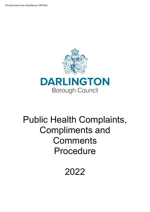This document was classified as: OFFICIAL



# Public Health Complaints, Compliments and **Comments** Procedure

2022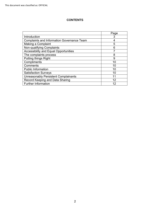## **CONTENTS**

|                                                   | Page |
|---------------------------------------------------|------|
| Introduction                                      | 3    |
| <b>Complaints and Information Governance Team</b> |      |
| Making a Complaint                                | 5    |
| Non-qualifying Complaints                         | 6    |
| <b>Accessibility and Equal Opportunities</b>      |      |
| The complaints process                            | 8    |
| <b>Putting things Right</b>                       | 9    |
| Compliments                                       | 10   |
| Comments                                          | 10   |
| <b>Public Information</b>                         | 10   |
| <b>Satisfaction Surveys</b>                       | 10   |
| <b>Unreasonably Persistent Complainants</b>       | 11   |
| Record Keeping and Data Sharing                   | 12   |
| <b>Further Information</b>                        | 12   |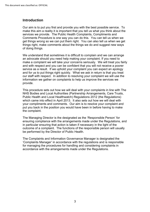# **Introduction**

Our aim is to put you first and provide you with the best possible service. To make this aim a reality it is important that you tell us what you think about the services we provide. The Public Health Complaints, Compliments and Comments Procedure is one way you can do this. You can tell us when we get things wrong so we can put them right. You can also tell us when we get things right, make comments about the things we do and suggest new ways of doing things.

 We understand that sometimes it is difficult to complain and we can arrange an advocate should you need help making your complaint. If you need to service as a result. If we uphold your complaint you can expect an apology and for us to put things right quickly. What we ask in return is that you treat make a complaint we will take your concerns seriously. We will treat you fairly and with respect and you can be confident that you will not receive a poorer our staff with respect. In addition to resolving your complaint we will use the information we gather on complaints to help us improve the services we provide.

 This procedure sets out how we will deal with your complaints in line with The NHS Bodies and Local Authorities (Partnership Arrangements, Care Trusts, your compliments and comments. Our aim is to resolve your complaint and Public Health and Local Healthwatch) Regulations 2012 (the Regulations) which came into effect in April 2013. It also sets out how we will deal with put you back in the position you would have been in before having to make the complaint.

be performed by the Director of Public Health. The Managing Director is the designated as the 'Responsible Person' for ensuring compliance with the arrangements made under the Regulations, and in particular ensuring that action is taken if necessary in the light of the outcome of a complaint. The functions of the responsible person will usually

accordance with the arrangements made under the Requiations. The Complaints and Information Governance Manager is designated the 'Complaints Manager' in accordance with the regulations and is responsible for managing the procedures for handling and considering complaints in accordance with the arrangements made under the Regulations.<br>  $\label{eq:3} \texttt{3}$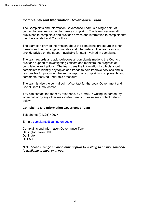## **Complaints and Information Governance Team**

 contact for anyone wishing to make a complaint. The team oversees all members of staff and Councillors. The Complaints and Information Governance Team is a single point of public health complaints and provides advice and information to complainants,

 provide advice on the support available for staff involved in complaints. The team can provide information about the complaints procedure in other formats and help arrange advocates and interpreters. The team can also

The team records and acknowledges all complaints made to the Council. It provides support to Investigating Officers and monitors the progress of complaint investigations. The team uses the information it collects about complaints to identify any topics and trends to help improve services and is responsible for producing the annual report on complaints, compliments and comments received under this procedure.

The team is also the central point of contact for the Local Government and Social Care Ombudsman.

You can contact the team by telephone, by e-mail, in writing, in person, by video call or by any other reasonable means. Please see contact details below.

#### **Complaints and Information Governance Team**

Telephone: (01325) 406777

E-mail: [complaints@darlington.gov.uk](mailto:complaints@darlington.gov.uk) 

 Complaints and Information Governance Team Darlington Town Hall **Darlington** DL1 5QT

#### *N.B. Please arrange an appointment prior to visiting to ensure someone is available to meet with you.*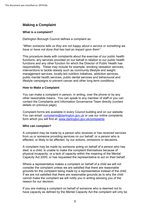# **Making a Complaint**

## **What is a complaint?**

Darlington Borough Council defines a complaint as:

*"When someone tells us they are not happy about a service or something we have or have not done that has had an impact upon them"*

 responsibility. These may include for example, smoking cessation services, lifestyle campaigns to prevent cancer and other long term conditions. This procedure deals with complaints about the exercise of our public health functions, any services provided on our behalf in relation to our public health functions and any other function for which the Director of Public Health has interventions to tackle obesity such as community lifestyle and weight management services, locally-led nutrition initiatives, addiction services, public mental health services, public dental services and behavioural and

#### **How to Make a Complaint**

 other reasonable means. You can speak to any member of staff or you can You can make a complaint in person, in writing, over the phone or by any contact the Complaints and Information Governance Team directly (contact details on previous page).

Complaint forms are available in every Council building and on our website. You can email: [complaints@darlington.gov.uk](mailto:complaints@darlington.gov.uk) or use our online complaints form which you will find at: [www.darlington.gov.uk/complaints](http://www.darlington.gov.uk/feedback) 

#### **Who can complain?**

 A complaint may be made by a person who receives or has received services from us or someone providing services on our behalf; or a person who is affected, or likely to be affected, by our actions, omissions or decisions.

 A complaint may be made by someone acting on behalf of a person who has Capacity Act 2005; or has requested the representative to act on their behalf. died; is a child; is unable to make the complaint themselves because of physical incapacity; or a lack of capacity within the meaning of the Mental

 Where a representative makes a complaint on behalf of a child we will not grounds for the complaint being made by a representative instead of the child. cannot make the complaint we will notify you in writing advising you of the consider the complaint unless we are satisfied that there are reasonable If we are not satisfied that there are reasonable grounds as to why the child reason for our decision.

If you are making a complaint on behalf of someone who is deemed not to have capacity as defined by the Mental Capacity Act the complaint will only be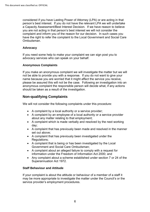person's best interest. If you do not have the relevant LPA we will undertake considered if you have Lasting Power of Attorney (LPA) or are acting in that a Capacity Assessment/Best Interest Decision. If we have reason to believe you are not acting in that person's best interest we will not consider the complaint and inform you of the reason for our decision. In such cases you have the right to refer the complaint to the Local Government and Social Care Ombudsman.

## **Advocacy**

 If you need some help to make your complaint we can sign post you to advocacy services who can speak on your behalf.

## **Anonymous Complaints**

 If you make an anonymous complaint we will investigate the matter but we will not be able to provide you with a response. If you do not want to give your please be assured this will not be the case. Following an investigation into an name because you are worried that it might affect the service you receive, anonymous complaint the responsible person will decide what, if any actions should be taken as a result of the investigation.

# **Non-qualifying Complaints**

We will not consider the following complaints under this procedure:

- A complaint by a local authority or a service provider;
- • A complaint by an employee of a local authority or a service provider about any matter relating to that employment;
- A complaint which is made verbally and resolved by the next working day;
- A complaint that has previously been made and resolved in the manner set out above;
- A complaint that has previously been investigated under the Regulations;
- A complaint that is being or has been investigated by the Local Government and Social Care Ombudsman;
- information under the Freedom of Information Act 2000; and • A complaint about an alleged failure to comply with a request for
- Any complaint about a scheme established under section 7 or 24 of the Superannuation Act 1972.

#### **Staff Behaviour and Attitude**

 service provider's employment procedures. If your complaint is about the attitude or behaviour of a member of a staff it may be more appropriate to investigate the matter under the Council's or the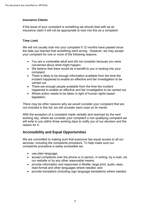## **Insurance Claims**

If the issue of your complaint is something we should deal with as an insurance claim it will not be appropriate to look into this as a complaint.

## **Time Limit**

We will not usually look into your complaint if 12 months have passed since the date you learned that something went wrong. However, we may accept your complaint for one or more of the following reasons:

- You are a vulnerable adult and did not complain because you were concerned about what might happen.
- • We believe that there would be a benefit to you in looking into your complaint.
- incident happened to enable an effective and fair investigation to be • There is likely to be enough information available from the time the carried out.
- There are enough people available from the time the incident happened to enable an effective and fair investigation to be carried out.
- Where action needs to be taken in light of human rights based legislation.

*There may be other reasons why we would consider your complaint that are not included in this list, we will consider each case on its merits.* 

 With the exception of a complaint made verbally and resolved by the next working day, where we consider your complaint a non-qualifying complaint we will write to you within three working days to notify you of our decision and the reason for it.

# **Accessibility and Equal Opportunities**

We are committed to making sure that everyone has equal access to all our services, including the complaints procedure. To help make sure our complaints procedure is easily accessible we:

- use plain language;
- • accept complaints over the phone or in person, in writing, by e-mail, via our website or by any other reasonable means;
- • provide information and responses in Braille, large print, audio, easy read format and other languages where needed; and
- provide translators (including sign language translators) where needed.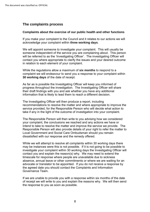# **The complaints process**

## **Complaints about the exercise of our public health and other functions**

acknowledge your complaint within three working days. If you make your complaint to the Council and it relates to our actions we will

 someone independent of the service you are complaining about. This person will be referred to as the 'Investigating Officer'. The investigating Officer will contact you where appropriate to clarify the issues and your desired outcome We will appoint someone to investigate your complaint. This will usually be in relation to each element of your complaint.

 While the regulations allow a maximum of **six months** to respond to a complaint we will endeavour to send you a response to your complaint within 30 working days of the date of receipt.

As far as is possible the Investigating Officer will keep you informed of progress throughout the investigation. The Investigating Officer will share their draft findings with you and ask whether you have any additional

information that is likely to lead them to reach a different decision.<br>The Investigating Officer will then produce a report, including recommendations to resolve the matter and where appropriate to improve the service provided, for the Responsible Person who will decide what action to take if any in the light of the outcome of investigation into your complaint.

 your complaint, the conclusions we reached and any actions we have or intend to take to resolve the matter and improve the service we provide. The Responsible Person will also provide details of your right to refer the matter to The Responsible Person will then write to you advising how we considered Local Government and Social Care Ombudsman should you remain dissatisfied with our response and the remedy offered.

 advocate or translator to be appointed. If you do not receive a response by Governance Team While we will attempt to resolve all complaints within 30 working days there may be instances were this is not possible. If it is not going to be possible to investigate your complaint within 30 working days the Investigating Officer will contact you and explain the reason(s) why. We may need to extend the timescale for response where people are unavailable due to sickness absence, annual leave or other commitments or where we are waiting for an the agreed date you should contact the Complaints and Information

Governance Team.<br>If we are unable to provide you with a response within six months of the date of receipt we will write to you and explain the reasons why. We will then send the response to you as soon as possible.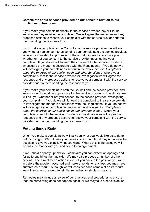## **Complaints about services provided on our behalf in relation to our public health functions**

 know when they receive the complaint. We will agree the response and any proposed actions to resolve your complaint with the service provider prior to If you make your complaint directly to the service provider they will let us them sending the response to you.

 complaint. If you do we will forward the complaint to the service provider to investigate the matter in accordance with the Regulations. If you do not we *about the exercise of our public health and other functions'*. Where your response and any proposed actions to resolve your complaint with the service If you make a complaint to the Council about a service provider we will ask you whether you consent to us sending your complaint to the service provider. Where we consider it appropriate for them to do so, we will also ask you whether or not you consent to the service provider investigating your will investigate your complaint as set out in the above section *'Complaints*  complaint is sent to the service provider for investigation we will agree the provider prior to them sending the response to you.

 your complaint. If you do we will forward the complaint to the service provider to investigate the matter in accordance with the Regulations. If you do not we *about the exercise of our public health and other functions'*. Where your response and any proposed actions to resolve your complaint with the service If you make your complaint to both the Council and the service provider, and we consider it would be appropriate for the service provider to investigate, we will ask you whether or not you consent to the service provider investigating will investigate your complaint as set out in the above section *'Complaints*  complaint is sent to the service provider for investigation we will agree the provider prior to them sending the response to you.

# **Putting things Right**

When you make a complaint we will ask you what you would like us to do to put things right. We will take your views into account but it may not always be possible to give you exactly what you want. Where this is the case, we will discuss the matter with you and come to an agreement.

 in before the problem occurred and make amends for any loss you may have If we uphold or partly uphold your complaint you can expect an apology and for us to put things right quickly. We may also propose a number of other actions. The aim of these actions is to put you back in the position you were suffered as a result. Although we will consider each complaint on its merits we will try to ensure we offer similar remedies for similar situations.

Remedies may include a review of our practices and procedures to ensure that the same thing does not happen again, or we may take a specific action.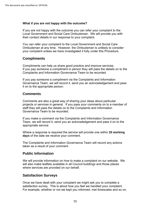#### **What if you are not happy with the outcome?**

 Local Government and Social Care Ombudsman. We will provide you with If you are not happy with the outcome you can refer your complaint to the their contact details in our response to your complaint.

 Ombudsman at any time. However, the Ombudsman is unlikely to consider You can refer your complaint to the Local Government and Social Care your complaint unless we have investigated it fully under this Procedure.

## **Compliments**

 If you pay someone a compliment in person they will pass the details on to the Complaints and Information Governance Team to be recorded. Compliments can help us share good practice and improve services.

 If you pay someone a compliment via the Complaints and Information Governance Team, we will record it, send you an acknowledgement and pass it on to the appropriate person.

## **Comments**

 projects or services in general. If you pass your comments on to a member of staff they will pass the details on to the Complaints and Information Comments are also a great way of sharing your ideas about particular Governance Team to be recorded.

 Team, we will record it, send you an acknowledgement and pass it on to the If you make a comment via the Complaints and Information Governance appropriate service.

Where a response is required the service will provide one within **25 working days** of the date we receive your comment.

 The Complaints and Information Governance Team will record any actions taken as a result of your comment

## **Public Information**

 We will provide information on how to make a complaint on our website. We will also make leaflets available in all Council buildings and those places where services are provided on our behalf.

# **Satisfaction Surveys**

 Once we have dealt with your complaint we might ask you to complete a satisfaction survey. This is about how you feel we handled your complaint. For example, whether or not we kept you informed, met timescales and so on,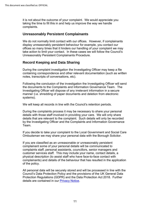it is not about the outcome of your complaint. We would appreciate you taking the time to fill this in and help us improve the way we handle complaints.

# **Unreasonably Persistent Complainants**

 We do not normally limit contact with our offices. However, if complainants display unreasonably persistent behaviour for example, you contact our offices so many times that it hinders our handling of your complaint we may take action to limit your contact. In these cases we will follow the Council's Unreasonably Persistent Complainants Procedure.

# **Record Keeping and Data Sharing**

 containing correspondence and other relevant documentation (such as written During the complaint investigation the Investigating Officer may keep a file notes, transcripts of conversations, etc).

 the documents to the Complaints and Information Governance Team. The Following the conclusion of the investigation the Investigating Officer will send Investigating Officer will dispose of any irrelevant information in a secure manner (i.e. shredding of paper documents and deletion from electronic systems).

We will keep all records in line with the Council's retention periods.

 by the Investigating Officer and the Complaints and Information Governance During the complaints process it may be necessary to share your personal details with those staff involved in providing your care. We will only share details that are relevant to the complaint. Such details will only be recorded Team.

If you decide to take your complaint to the Local Government and Social Care Ombudsman we may share your personal data with the Borough Solicitor.

If you are classified as an unreasonable or unreasonably persistent complainant some of your personal details will be communicated to complaints staff, personal assistants, councillors, senior managers and customer services staff. This may include your name, contact details, a physical description (to assist staff who have face-to-face contact with complainants) and details of the behaviour that has resulted in the application of the policy.

 Protection Regulations (GDPR) and the Data Protection Act 2018. Further All personal data will be securely stored and will be processed in line with the Council's Data Protection Policy and the provisions of the UK General Data details are contained in our [Privacy Notice.](http://www.darlington.gov.uk/your-council/data-protection-and-freedom-of-information/privacy-notice/)